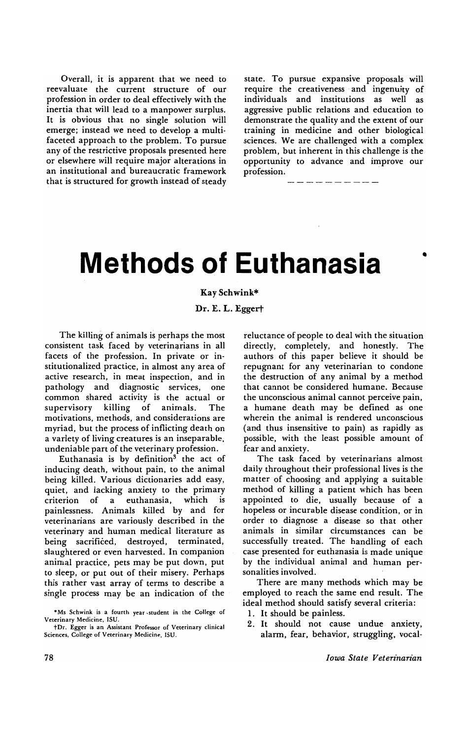Overall. it is apparent that we need to reevaluate the current structure of our profession in order to deal effectively with the inertia that will lead to a manpower surplus. It is obvious that no single solution will emerge; instead we need to develop a multifaceted approach to the problem. To pursue any of the restrictive proposals presented here or elsewhere will require major alterations in an institutional and bureaucratic framework that is structured for growth instead of steady state. To pursue expansive proposals will require the creativeness· and ingenuity of individuals and institutions as well as aggressive public relations and education to demonstrate the quality and the extent of our training in medicine and other biological sciences. We are challenged with a complex problem, but inherent in this challenge is the opportunity to advance and improve our profession. .

-------------

## **Methods of Euthanasia** •

## Kay Schwink\*

Dr. E. L. Eggert

The killing of animals is perhaps the most consistent task faced by veterinarians in all facets of the profession. In private or institutionalized practice, in almost any area of active research, in meat inspection. and in pathology and diagnostic services. one common shared activity is the actual or supervisory killing of animals. The motivations, methods, and considerations are myriad, but the process of inflicting death on a variety of living creatures is an inseparable, undeniable part of the veterinary profession.

Euthanasia is by definition<sup>3</sup> the act of inducing death, without pain, to the animal being killed. Various dictionaries add easy, quiet, and lacking anxiety to the primary criterion of a euthanasia. which is painlessness. Animals killed by and for veterinarians are variously described in the veterinary and human medical literature as being sacrificed, destroyed, terminated, slaughtered or even harvested. In companion animal practice, pets may be put down, put to sleep, or put out of their misery. Perhaps this rather vast array of terms to describe a single process may be an indication of the reluctance of people to deal with the situation directly. completely, and honestly. The authors of this paper believe it should be repugnant for any veterinarian to condone the destruction of any animal by a method that cannot be considered humane. Because the unconscious animal cannot perceive pain, a humane death may be defined as one wherein the animal is rendered unconscious (and thus insensitive to pain) as rapidly as possible, with the least possible amount of fear and anxiety.

The task faced by veterinarians almost daily throughout their professional lives is the matter of choosing and applying a suitable method of killing a patient which has been appointed to die, usually because of a hopeless or incurable disease condition, or in order to diagnose a disease so that other animals in similar circumstances can be successfully treated. The handling of each case presented for euthanasia is made unique by the individual animal and human personalities involved.

There are many methods which may be employed to reach the same end result. The ideal method should satisfy several criteria:

- 1. It should be painless.
- 2. It should not cause undue anxiety, alarm, fear, behavior. struggling, vocal-

<sup>•</sup> Ms Schwink is a fourth year • student in the College of Veterinary Medicine, ISU.

tDr. Egger is an Assistant Professor of Veterinary clinical Sciences, College of Veterinary Medicine, ISU.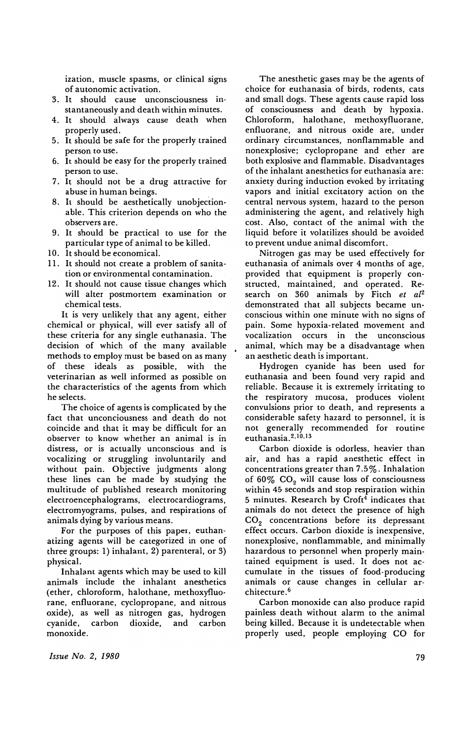ization, muscle spasms, or clinical signs of autonomic activation.

- 3. It should cause unconsciousness instantaneously and death within minutes.
- 4. It should always cause death when properly used.
- 5. It should be safe for the properly trained person to use.
- 6. It should be easy for the properly trained person to use.
- 7. It should not be a drug attractive for abuse in human beings.
- 8. It should be aesthetically unobjectionable. This criterion depends on who the observers are.
- 9. It should be practical to use for the particular type of animal to be killed.
- 10. It should be economical.
- 11. It should not create a problem of sanitation or environmental contamination.
- 12. It should not cause tissue changes which will alter postmortem examination or chemical tests.

It is very unlikely that any agent, either chemical or physical, will ever satisfy all of these criteria for any single euthanasia. The decision of which of the many available methods to employ must be based on as many of these ideals as possible, with the veterinarian as well informed as possible on the characteristics of the agents from which he selects.

The choice of agents is complicated by the fact that unconciousness and death do not coincide and that it may be difficult for an observer to know whether an animal is in distress, or is actually unconscious and is vocalizing or struggling involuntarily and without pain. Objective judgments along these lines can be made by studying the multitude of published research monitoring electroencephalograms, electrocardiograms, electromyograms, pulses, and respirations of animals dying by various means.

For the purposes of this paper, euthanatizing agents will be categorized in one of three groups: 1) inhalant, 2) parenteral, or 3) physical.

Inhalant agents which may be used to kill animals include the inhalant anesthetics (ether, chloroform, halothane, methoxyfluorane, enfluorane, cyclopropane, and nitrous oxide), as well as nitrogen gas, hydrogen cyanide, carbon dioxide, and carbon monoxide.

The anesthetic gases may be the agents of choice for euthanasia of birds, rodents, cats and small dogs. These agents cause rapid loss of consciousness and death by hypoxia. Chloroform, halothane, methoxyfluorane, enfluorane, and nitrous oxide are, under ordinary circumstances, nonflammable and nonexplosive; cyclopropane and ether are both explosive and flammable. Disadvantages of the inhalant anesthetics for euthanasia are: anxiety during induction evoked by irritating vapors and initial excitatory action on the central nervous system, hazard to the person administering the agent, and relatively high cost. Also, contact of the animal with the liquid before it volatilizes should be avoided to prevent undue animal discomfort.

Nitrogen gas may be used effectively for euthanasia of animals over 4 months of age, provided that equipment is properly constructed, maintained, and operated. Research on 360 animals by Fitch *et al2*  demonstrated that all subjects became unconscious within one minute with no signs of pain. Some hypoxia-related movement and vocalization occurs in the unconscious animal, which may be a disadvantage when an aesthetic death is important.

Hydrogen cyanide has been used for euthanasia and been found very rapid and reliable. Because it is extremely irritating to the respiratory mucosa, produces violent convulsions prior to death, and represents a considerable safety hazard to personnel, it is not generally recommended for routine euthanasia.<sup>2,10,13</sup>

Carbon dioxide is odorless, heavier than air, and has a rapid anesthetic effect in concentrations greater than 7.5%. Inhalation of 60%  $CO<sub>2</sub>$  will cause loss of consciousness within 45 seconds and stop respiration within 5 minutes. Research by Croft<sup>4</sup> indicates that animals do not detect the presence of high CO<sub>2</sub> concentrations before its depressant effect occurs. Carbon dioxide is inexpensive, nonexplosive, nonflammable, and minimally hazardous to personnel when properly maintained equipment is used. It does not accumulate in the tissues of food-producing animals or cause changes in cellular architecture. <sup>6</sup>

Carbon monoxide can also produce rapid painless death without alarm to the animal being killed. Because it is undetectable when properly used, people employing CO for

*Issue No.2, 1980*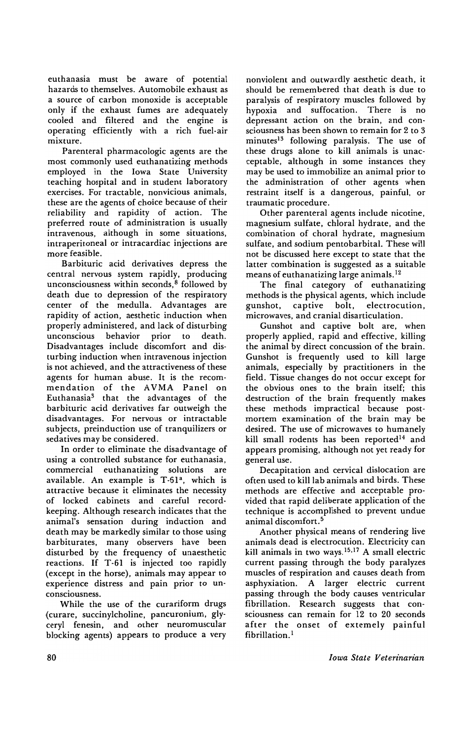euthanasia must be aware of potential hazards to themselves. Automobile exhaust as a source of carbon monoxide is acceptable only if the exhaust fumes are adequately cooled and filtered and the engine is operating efficiently with a rich fuel-air mixture.

Parenteral pharmacologic agents are the most commonly used euthanatizing methods employed in the Iowa State University teaching hospital and in student laboratory exercises. For tractable, nonvicious animals, these are the agents of choice because of their reliability and rapidity of action. The preferred route of administration is usually intravenous, although in some situations, intraperitoneal or intracardiac injections are more feasible.

Barbituric acid derivatives depress the central nervous system rapidly, producing unconsciousness within seconds, 8 followed by death due to depression of the respiratory center of the medulla. Advantages are rapidity of action, aesthetic induction when properly administered, and lack of disturbing unconscious behavior prior to death. Disadvantages include discomfort and disturbing induction when intravenous injection is not achieved, and the attractiveness of these agents for human abuse. It is the recommendation of the AVMA Panel on Euthanasia<sup>3</sup> that the advantages of the barbituric acid derivatives far outweigh the disadvantages. For nervous or intractable subjects, preinduction use of tranquilizers or sedatives may be considered.

In order to eliminate the disadvantage of using a controlled substance for euthanasia, commercial euthanatizing solutions are available. An example is  $T-61^a$ , which is attractive because it eliminates the necessity of locked cabinets and careful recordkeeping. Although research indicates that the animal's sensation during induction and death may be markedly similar to those using barbiturates, many observers have been disturbed by the frequency of unaesthetic reactions. If T-61 is injected too rapidly (except in the horse), animals may appear to experience distress and pain prior to unconsciousness.

While the use of the curariform drugs (curare, succinylcholine, pancuronium, glyceryl fenesin, and other neuromuscular blocking agents) appears to produce a very

nonviolent and outwardly aesthetic death, it should be remembered that death is due to paralysis of respiratory muscles followed by hypoxia and suffocation. There is no depressant action on the brain, and consciousness has been shown to remain for 2 to 3 minutes<sup>13</sup> following paralysis. The use of these drugs alone to kill animals is unacceptable, although in some instances they may be used to immobilize an animal prior to the administration of other agents when restraint itself is a dangerous, painful, or traumatic procedure.

Other parenteral agents include nicotine, magnesium sulfate, chloral hydrate, and the combination of choral hydrate, magnesium sulfate, and sodium pentobarbital. These will not be discussed here except to state that the latter combination is suggested as a suitable means of euthanatizing large animals. 12

The final category of euthanatizing methods is the physical agents, which include gunshot, captive bolt, electrocution, microwaves, and cranial disarticulation.

Gunshot and captive bolt are, when properly applied, rapid and effective, killing the animal by direct concussion of the brain. Gunshot is frequently used to kill large animals, especially by practitioners in the field. Tissue changes do not occur except for the obvious ones to the brain itself; this destruction of the brain frequently makes these methods impractical because postmortem examination of the brain may be desired. The use of microwaves to humanely kill small rodents has been reported<sup>14</sup> and appears promising, although not yet ready for general use.

Decapitation and cervical dislocation are often used to kill lab animals and birds. These methods are effective and acceptable provided that rapid deliberate application of the technique is accomplished to prevent undue animal discomfort. 5

Another physical means of rendering live animals dead is electrocution. Electricity can kill animals in two ways.15.17 A small electric current passing through the body paralyzes muscles of respiration and causes death from asphyxiation. A larger electric current passing through the body causes ventricular fibrillation. Research suggests that consciousness can remain for 12 to 20 seconds after the onset of extemely painful fibrillation.<sup>1</sup>